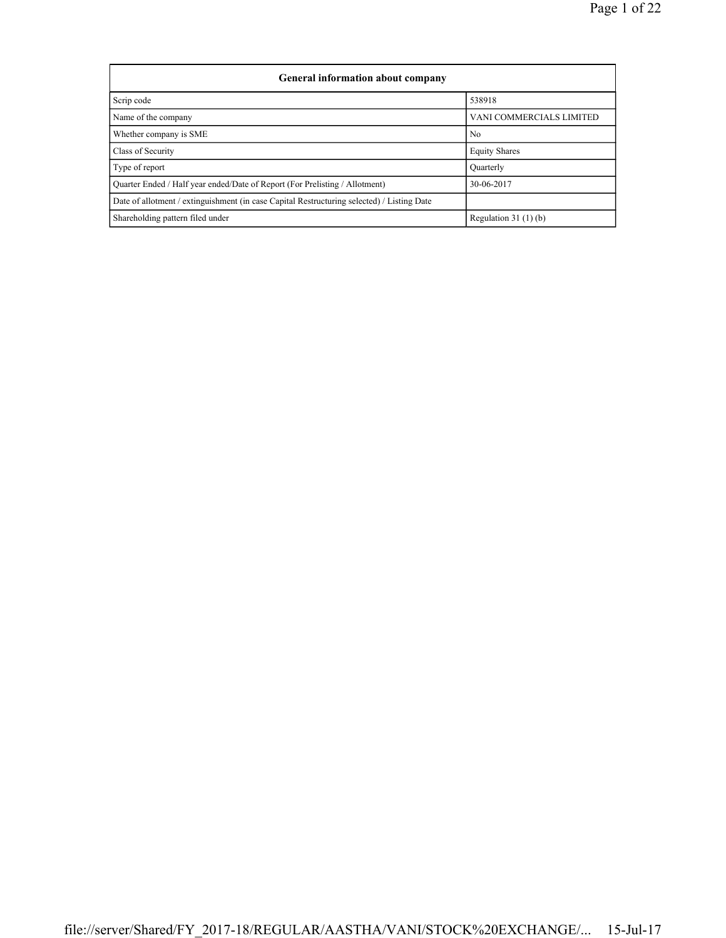| General information about company                                                          |                                 |  |  |  |  |  |  |  |
|--------------------------------------------------------------------------------------------|---------------------------------|--|--|--|--|--|--|--|
| Scrip code                                                                                 | 538918                          |  |  |  |  |  |  |  |
| Name of the company                                                                        | <b>VANI COMMERCIALS LIMITED</b> |  |  |  |  |  |  |  |
| Whether company is SME                                                                     | No                              |  |  |  |  |  |  |  |
| Class of Security                                                                          | <b>Equity Shares</b>            |  |  |  |  |  |  |  |
| Type of report                                                                             | Quarterly                       |  |  |  |  |  |  |  |
| Quarter Ended / Half year ended/Date of Report (For Prelisting / Allotment)                | 30-06-2017                      |  |  |  |  |  |  |  |
| Date of allotment / extinguishment (in case Capital Restructuring selected) / Listing Date |                                 |  |  |  |  |  |  |  |
| Shareholding pattern filed under                                                           | Regulation $31(1)(b)$           |  |  |  |  |  |  |  |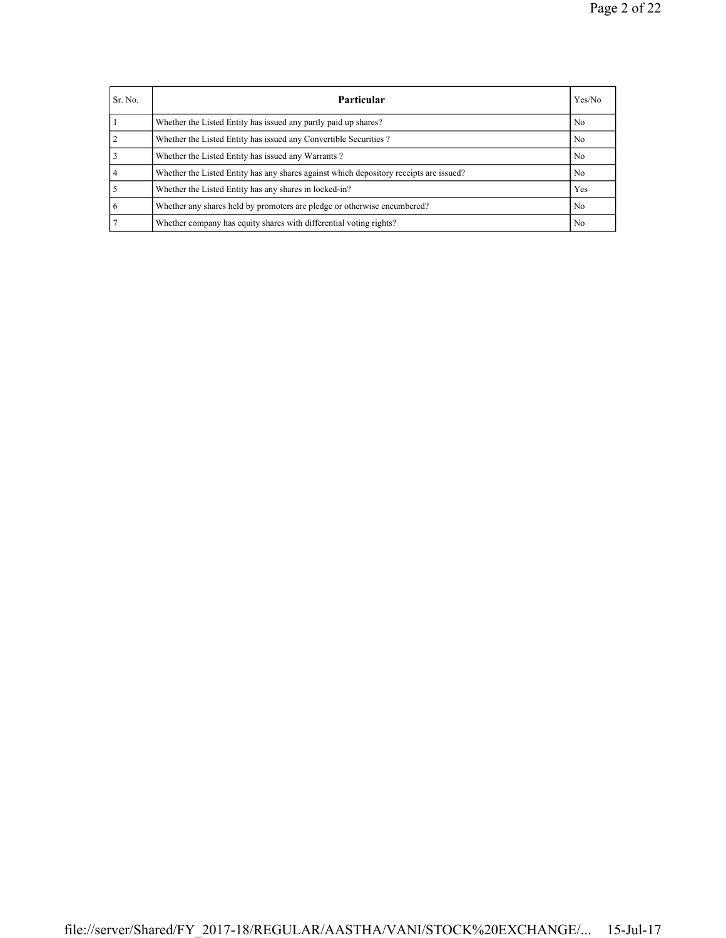| Sr. No. | Particular                                                                             | Yes/No         |
|---------|----------------------------------------------------------------------------------------|----------------|
|         | Whether the Listed Entity has issued any partly paid up shares?                        | N <sub>0</sub> |
|         | Whether the Listed Entity has issued any Convertible Securities?                       | N <sub>0</sub> |
|         | Whether the Listed Entity has issued any Warrants?                                     | No             |
| 4       | Whether the Listed Entity has any shares against which depository receipts are issued? | N <sub>0</sub> |
|         | Whether the Listed Entity has any shares in locked-in?                                 | Yes            |
| 6       | Whether any shares held by promoters are pledge or otherwise encumbered?               | N <sub>0</sub> |
|         | Whether company has equity shares with differential voting rights?                     | N <sub>0</sub> |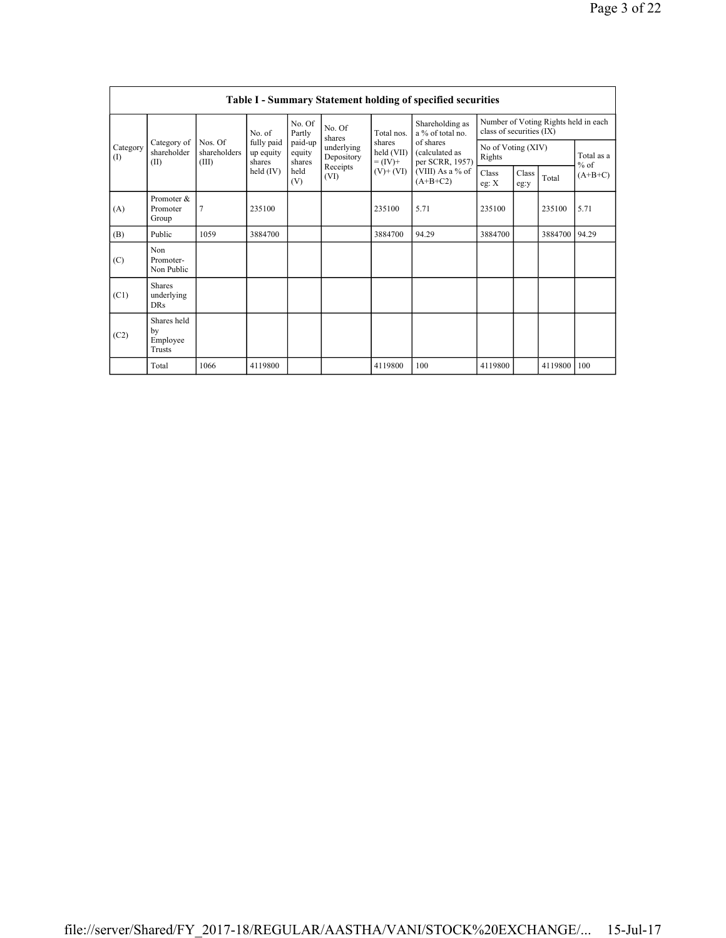|                         | Table I - Summary Statement holding of specified securities |                                  |                                   |                             |                          |                                      |                                                |                                                                  |               |         |                      |  |  |  |
|-------------------------|-------------------------------------------------------------|----------------------------------|-----------------------------------|-----------------------------|--------------------------|--------------------------------------|------------------------------------------------|------------------------------------------------------------------|---------------|---------|----------------------|--|--|--|
| Category<br>(1)<br>(II) |                                                             |                                  | No. of                            | No. Of<br>Partly            | No. Of<br>shares         | Total nos.                           | Shareholding as<br>a % of total no.            | Number of Voting Rights held in each<br>class of securities (IX) |               |         |                      |  |  |  |
|                         | Category of<br>shareholder                                  | Nos. Of<br>shareholders<br>(III) | fully paid<br>up equity<br>shares | paid-up<br>equity<br>shares | underlying<br>Depository | shares<br>held $(VII)$<br>$= (IV) +$ | of shares<br>(calculated as<br>per SCRR, 1957) | No of Voting (XIV)<br>Rights                                     |               |         | Total as a<br>$%$ of |  |  |  |
|                         |                                                             |                                  | held $(IV)$                       | held<br>(V)                 | Receipts<br>(VI)         | $(V)+(VI)$                           | (VIII) As a % of<br>$(A+B+C2)$                 | Class<br>eg: $X$                                                 | Class<br>eg:y | Total   | $(A+B+C)$            |  |  |  |
| (A)                     | Promoter &<br>Promoter<br>Group                             | $\overline{7}$                   | 235100                            |                             |                          | 235100                               | 5.71                                           | 235100                                                           |               | 235100  | 5.71                 |  |  |  |
| (B)                     | Public                                                      | 1059                             | 3884700                           |                             |                          | 3884700                              | 94.29                                          | 3884700                                                          |               | 3884700 | 94.29                |  |  |  |
| (C)                     | Non<br>Promoter-<br>Non Public                              |                                  |                                   |                             |                          |                                      |                                                |                                                                  |               |         |                      |  |  |  |
| (C1)                    | <b>Shares</b><br>underlying<br><b>DRs</b>                   |                                  |                                   |                             |                          |                                      |                                                |                                                                  |               |         |                      |  |  |  |
| (C2)                    | Shares held<br>by<br>Employee<br>Trusts                     |                                  |                                   |                             |                          |                                      |                                                |                                                                  |               |         |                      |  |  |  |
|                         | Total                                                       | 1066                             | 4119800                           |                             |                          | 4119800                              | 100                                            | 4119800                                                          |               | 4119800 | 100                  |  |  |  |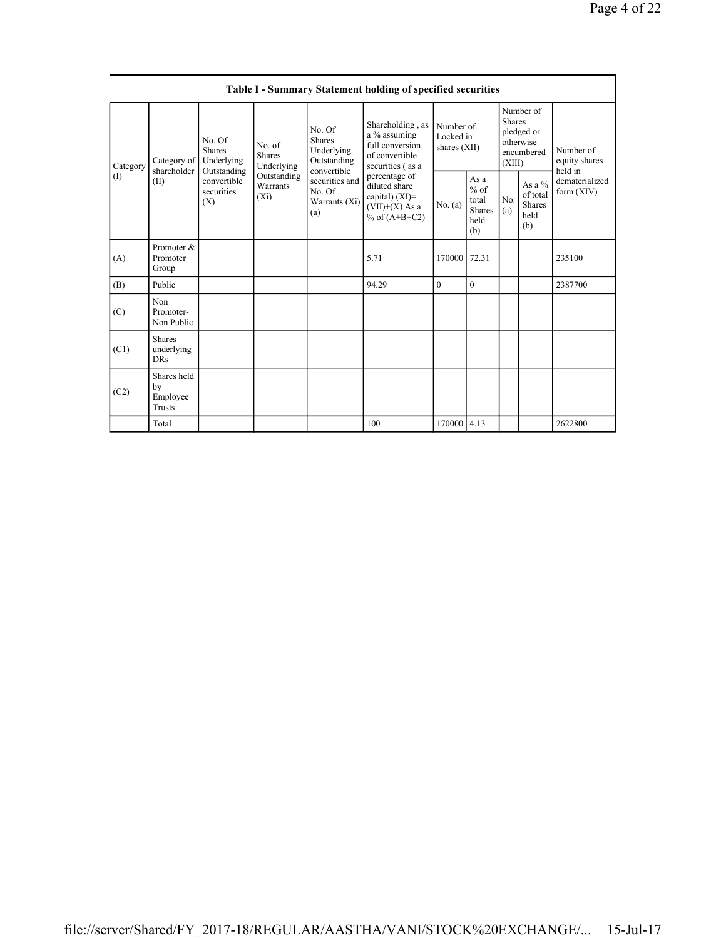|                 | Table I - Summary Statement holding of specified securities |                                                                                          |                                       |                                                                                                                  |                                                                                            |                                          |                                                         |                                                                               |                                                    |                                           |  |  |  |
|-----------------|-------------------------------------------------------------|------------------------------------------------------------------------------------------|---------------------------------------|------------------------------------------------------------------------------------------------------------------|--------------------------------------------------------------------------------------------|------------------------------------------|---------------------------------------------------------|-------------------------------------------------------------------------------|----------------------------------------------------|-------------------------------------------|--|--|--|
| Category<br>(1) | Category of<br>shareholder<br>(II)                          | No. Of<br><b>Shares</b><br>Underlying<br>Outstanding<br>convertible<br>securities<br>(X) | No. of<br><b>Shares</b><br>Underlying | No. Of<br>Shares<br>Underlying<br>Outstanding<br>convertible<br>securities and<br>No. Of<br>Warrants (Xi)<br>(a) | Shareholding, as<br>a % assuming<br>full conversion<br>of convertible<br>securities (as a  | Number of<br>Locked in<br>shares $(XII)$ |                                                         | Number of<br><b>Shares</b><br>pledged or<br>otherwise<br>encumbered<br>(XIII) |                                                    | Number of<br>equity shares                |  |  |  |
|                 |                                                             |                                                                                          | Outstanding<br>Warrants<br>$(X_i)$    |                                                                                                                  | percentage of<br>diluted share<br>capital) $(XI)$ =<br>$(VII)+(X)$ As a<br>% of $(A+B+C2)$ | No. (a)                                  | As a<br>$%$ of<br>total<br><b>Shares</b><br>held<br>(b) | No.<br>(a)                                                                    | As a %<br>of total<br><b>Shares</b><br>held<br>(b) | held in<br>dematerialized<br>form $(XIV)$ |  |  |  |
| (A)             | Promoter &<br>Promoter<br>Group                             |                                                                                          |                                       |                                                                                                                  | 5.71                                                                                       | 170000                                   | 72.31                                                   |                                                                               |                                                    | 235100                                    |  |  |  |
| (B)             | Public                                                      |                                                                                          |                                       |                                                                                                                  | 94.29                                                                                      | $\theta$                                 | $\theta$                                                |                                                                               |                                                    | 2387700                                   |  |  |  |
| (C)             | Non<br>Promoter-<br>Non Public                              |                                                                                          |                                       |                                                                                                                  |                                                                                            |                                          |                                                         |                                                                               |                                                    |                                           |  |  |  |
| (C1)            | <b>Shares</b><br>underlying<br><b>DRs</b>                   |                                                                                          |                                       |                                                                                                                  |                                                                                            |                                          |                                                         |                                                                               |                                                    |                                           |  |  |  |
| (C2)            | Shares held<br>by<br>Employee<br>Trusts                     |                                                                                          |                                       |                                                                                                                  |                                                                                            |                                          |                                                         |                                                                               |                                                    |                                           |  |  |  |
|                 | Total                                                       |                                                                                          |                                       |                                                                                                                  | 100                                                                                        | 170000 4.13                              |                                                         |                                                                               |                                                    | 2622800                                   |  |  |  |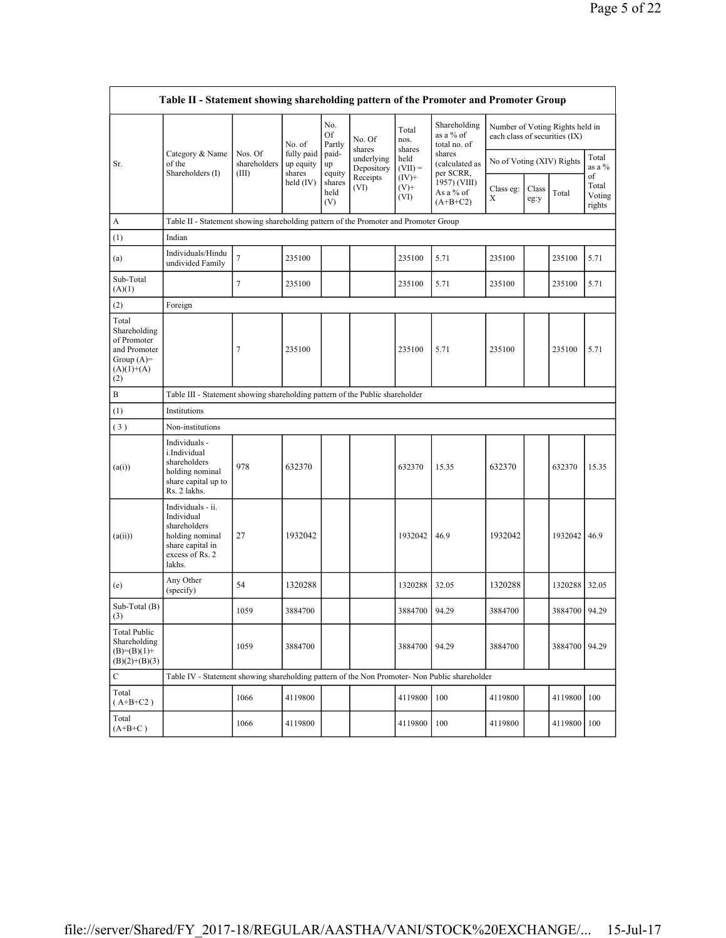| Table II - Statement showing shareholding pattern of the Promoter and Promoter Group        |                                                                                                                     |                                                                                      |                         |                                 |                          |                             |                                                                                                                               |                           |                                                                  |               |                                 |  |
|---------------------------------------------------------------------------------------------|---------------------------------------------------------------------------------------------------------------------|--------------------------------------------------------------------------------------|-------------------------|---------------------------------|--------------------------|-----------------------------|-------------------------------------------------------------------------------------------------------------------------------|---------------------------|------------------------------------------------------------------|---------------|---------------------------------|--|
|                                                                                             |                                                                                                                     |                                                                                      | No. of                  | No.<br>Of<br>Partly             | No. Of<br>shares         | Total<br>nos.<br>shares     | Shareholding<br>as a % of<br>total no. of<br>shares<br>(calculated as<br>per SCRR,<br>1957) (VIII)<br>As a % of<br>$(A+B+C2)$ |                           | Number of Voting Rights held in<br>each class of securities (IX) |               |                                 |  |
| Sr.                                                                                         | Category & Name<br>of the                                                                                           | Nos. Of<br>shareholders                                                              | fully paid<br>up equity | paid-<br>up                     | underlying<br>Depository | held<br>$(VII) =$           |                                                                                                                               | No of Voting (XIV) Rights |                                                                  |               | Total<br>as a %                 |  |
|                                                                                             | Shareholders (I)                                                                                                    | (III)                                                                                | shares<br>held $(IV)$   | equity<br>shares<br>held<br>(V) | Receipts<br>(VI)         | $(IV)$ +<br>$(V)$ +<br>(VI) |                                                                                                                               | Class eg:<br>Χ            | Class<br>eg:y                                                    | Total         | of<br>Total<br>Voting<br>rights |  |
| A                                                                                           |                                                                                                                     | Table II - Statement showing shareholding pattern of the Promoter and Promoter Group |                         |                                 |                          |                             |                                                                                                                               |                           |                                                                  |               |                                 |  |
| (1)                                                                                         | Indian                                                                                                              |                                                                                      |                         |                                 |                          |                             |                                                                                                                               |                           |                                                                  |               |                                 |  |
| (a)                                                                                         | Individuals/Hindu<br>undivided Family                                                                               | 7                                                                                    | 235100                  |                                 |                          | 235100                      | 5.71                                                                                                                          | 235100                    |                                                                  | 235100        | 5.71                            |  |
| Sub-Total<br>(A)(1)                                                                         |                                                                                                                     | 7                                                                                    | 235100                  |                                 |                          | 235100                      | 5.71                                                                                                                          | 235100                    |                                                                  | 235100        | 5.71                            |  |
| (2)                                                                                         | Foreign                                                                                                             |                                                                                      |                         |                                 |                          |                             |                                                                                                                               |                           |                                                                  |               |                                 |  |
| Total<br>Shareholding<br>of Promoter<br>and Promoter<br>Group $(A)=$<br>$(A)(1)+(A)$<br>(2) |                                                                                                                     | 7                                                                                    | 235100                  |                                 |                          | 235100                      | 5.71                                                                                                                          | 235100                    |                                                                  | 235100        | 5.71                            |  |
| B                                                                                           |                                                                                                                     | Table III - Statement showing shareholding pattern of the Public shareholder         |                         |                                 |                          |                             |                                                                                                                               |                           |                                                                  |               |                                 |  |
| (1)                                                                                         | Institutions                                                                                                        |                                                                                      |                         |                                 |                          |                             |                                                                                                                               |                           |                                                                  |               |                                 |  |
| (3)                                                                                         | Non-institutions                                                                                                    |                                                                                      |                         |                                 |                          |                             |                                                                                                                               |                           |                                                                  |               |                                 |  |
| (a(i))                                                                                      | Individuals -<br>i.Individual<br>shareholders<br>holding nominal<br>share capital up to<br>Rs. 2 lakhs.             | 978                                                                                  | 632370                  |                                 |                          | 632370                      | 15.35                                                                                                                         | 632370                    |                                                                  | 632370        | 15.35                           |  |
| (a(ii))                                                                                     | Individuals - ii.<br>Individual<br>shareholders<br>holding nominal<br>share capital in<br>excess of Rs. 2<br>lakhs. | 27                                                                                   | 1932042                 |                                 |                          | 1932042                     | 46.9                                                                                                                          | 1932042                   |                                                                  | 1932042 46.9  |                                 |  |
| (e)                                                                                         | Any Other<br>(specify)                                                                                              | 54                                                                                   | 1320288                 |                                 |                          | 1320288                     | 32.05                                                                                                                         | 1320288                   |                                                                  | 1320288       | 32.05                           |  |
| Sub-Total (B)<br>(3)                                                                        |                                                                                                                     | 1059                                                                                 | 3884700                 |                                 |                          | 3884700                     | 94.29                                                                                                                         | 3884700                   |                                                                  | 3884700 94.29 |                                 |  |
| <b>Total Public</b><br>Shareholding<br>$(B)= (B)(1) +$<br>$(B)(2)+(B)(3)$                   |                                                                                                                     | 1059                                                                                 | 3884700                 |                                 |                          | 3884700                     | 94.29                                                                                                                         | 3884700                   |                                                                  | 3884700       | 94.29                           |  |
| $\mathbf C$                                                                                 | Table IV - Statement showing shareholding pattern of the Non Promoter- Non Public shareholder                       |                                                                                      |                         |                                 |                          |                             |                                                                                                                               |                           |                                                                  |               |                                 |  |
| Total<br>$(A+B+C2)$                                                                         |                                                                                                                     | 1066                                                                                 | 4119800                 |                                 |                          | 4119800                     | 100                                                                                                                           | 4119800                   |                                                                  | 4119800       | 100                             |  |
| Total<br>$(A+B+C)$                                                                          |                                                                                                                     | 1066                                                                                 | 4119800                 |                                 |                          | 4119800                     | 100                                                                                                                           | 4119800                   |                                                                  | 4119800       | 100                             |  |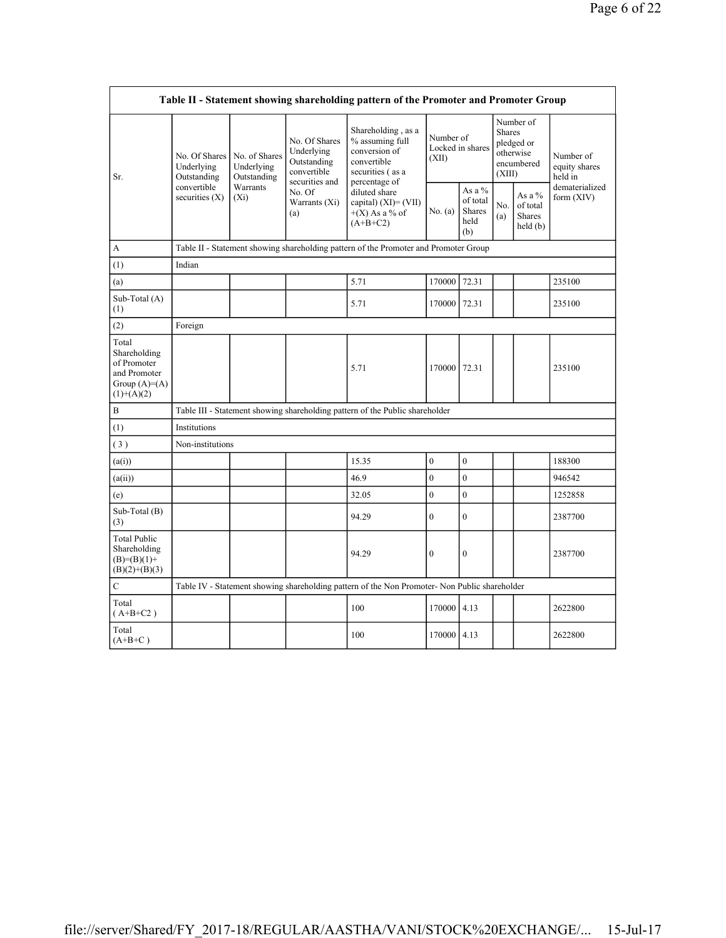| Table II - Statement showing shareholding pattern of the Promoter and Promoter Group   |                                                                               |                                                                                      |                                                                                                                 |                                                                                                                                                                                          |                                        |                                                      |                                                                               |                                                |                                       |  |  |  |
|----------------------------------------------------------------------------------------|-------------------------------------------------------------------------------|--------------------------------------------------------------------------------------|-----------------------------------------------------------------------------------------------------------------|------------------------------------------------------------------------------------------------------------------------------------------------------------------------------------------|----------------------------------------|------------------------------------------------------|-------------------------------------------------------------------------------|------------------------------------------------|---------------------------------------|--|--|--|
| Sr.                                                                                    | No. Of Shares<br>Underlying<br>Outstanding<br>convertible<br>securities $(X)$ | No. of Shares<br>Underlying<br>Outstanding<br>Warrants<br>$(X_i)$                    | No. Of Shares<br>Underlying<br>Outstanding<br>convertible<br>securities and<br>No. Of<br>Warrants $(Xi)$<br>(a) | Shareholding, as a<br>% assuming full<br>conversion of<br>convertible<br>securities (as a<br>percentage of<br>diluted share<br>capital) $(XI) = (VII)$<br>$+(X)$ As a % of<br>$(A+B+C2)$ | Number of<br>Locked in shares<br>(XII) |                                                      | Number of<br><b>Shares</b><br>pledged or<br>otherwise<br>encumbered<br>(XIII) |                                                | Number of<br>equity shares<br>held in |  |  |  |
|                                                                                        |                                                                               |                                                                                      |                                                                                                                 |                                                                                                                                                                                          | No. (a)                                | As a $%$<br>of total<br><b>Shares</b><br>held<br>(b) | No.<br>(a)                                                                    | As a %<br>of total<br><b>Shares</b><br>held(b) | dematerialized<br>form $(XIV)$        |  |  |  |
| A                                                                                      |                                                                               | Table II - Statement showing shareholding pattern of the Promoter and Promoter Group |                                                                                                                 |                                                                                                                                                                                          |                                        |                                                      |                                                                               |                                                |                                       |  |  |  |
| (1)                                                                                    | Indian                                                                        |                                                                                      |                                                                                                                 |                                                                                                                                                                                          |                                        |                                                      |                                                                               |                                                |                                       |  |  |  |
| (a)                                                                                    |                                                                               |                                                                                      |                                                                                                                 | 5.71                                                                                                                                                                                     | 170000 72.31                           |                                                      |                                                                               |                                                | 235100                                |  |  |  |
| Sub-Total (A)<br>(1)                                                                   |                                                                               |                                                                                      |                                                                                                                 | 5.71                                                                                                                                                                                     | 170000 72.31                           |                                                      |                                                                               |                                                | 235100                                |  |  |  |
| (2)                                                                                    | Foreign                                                                       |                                                                                      |                                                                                                                 |                                                                                                                                                                                          |                                        |                                                      |                                                                               |                                                |                                       |  |  |  |
| Total<br>Shareholding<br>of Promoter<br>and Promoter<br>Group $(A)=A)$<br>$(1)+(A)(2)$ |                                                                               |                                                                                      |                                                                                                                 | 5.71                                                                                                                                                                                     | 170000 72.31                           |                                                      |                                                                               |                                                | 235100                                |  |  |  |
| $\, {\bf B}$                                                                           |                                                                               |                                                                                      |                                                                                                                 | Table III - Statement showing shareholding pattern of the Public shareholder                                                                                                             |                                        |                                                      |                                                                               |                                                |                                       |  |  |  |
| (1)                                                                                    | Institutions                                                                  |                                                                                      |                                                                                                                 |                                                                                                                                                                                          |                                        |                                                      |                                                                               |                                                |                                       |  |  |  |
| (3)                                                                                    | Non-institutions                                                              |                                                                                      |                                                                                                                 |                                                                                                                                                                                          |                                        |                                                      |                                                                               |                                                |                                       |  |  |  |
| (a(i))                                                                                 |                                                                               |                                                                                      |                                                                                                                 | 15.35                                                                                                                                                                                    | $\mathbf{0}$                           | $\overline{0}$                                       |                                                                               |                                                | 188300                                |  |  |  |
| (a(ii))                                                                                |                                                                               |                                                                                      |                                                                                                                 | 46.9                                                                                                                                                                                     | $\overline{0}$                         | $\overline{0}$                                       |                                                                               |                                                | 946542                                |  |  |  |
| (e)                                                                                    |                                                                               |                                                                                      |                                                                                                                 | 32.05                                                                                                                                                                                    | $\overline{0}$                         | $\overline{0}$                                       |                                                                               |                                                | 1252858                               |  |  |  |
| Sub-Total (B)<br>(3)                                                                   |                                                                               |                                                                                      |                                                                                                                 | 94.29                                                                                                                                                                                    | $\overline{0}$                         | $\theta$                                             |                                                                               |                                                | 2387700                               |  |  |  |
| <b>Total Public</b><br>Shareholding<br>$(B)= (B)(1) +$<br>$(B)(2)+(B)(3)$              |                                                                               |                                                                                      |                                                                                                                 | 94.29                                                                                                                                                                                    | $\boldsymbol{0}$                       | 0                                                    |                                                                               |                                                | 2387700                               |  |  |  |
| $\mathbf C$                                                                            |                                                                               |                                                                                      |                                                                                                                 | Table IV - Statement showing shareholding pattern of the Non Promoter- Non Public shareholder                                                                                            |                                        |                                                      |                                                                               |                                                |                                       |  |  |  |
| Total<br>$(A+B+C2)$                                                                    |                                                                               |                                                                                      |                                                                                                                 | 100                                                                                                                                                                                      | 170000 4.13                            |                                                      |                                                                               |                                                | 2622800                               |  |  |  |
| Total<br>$(A+B+C)$                                                                     |                                                                               |                                                                                      |                                                                                                                 | 100                                                                                                                                                                                      | 170000 4.13                            |                                                      |                                                                               |                                                | 2622800                               |  |  |  |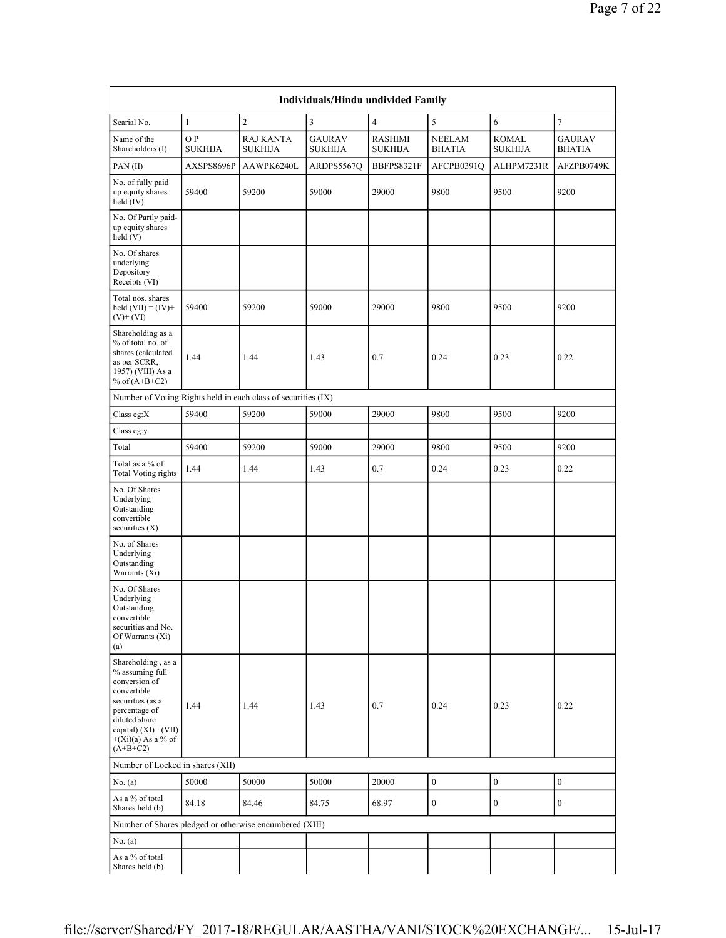| Individuals/Hindu undivided Family                                                                                                                                                           |                       |                             |                                 |                                  |                                |                         |                                |  |  |  |  |  |
|----------------------------------------------------------------------------------------------------------------------------------------------------------------------------------------------|-----------------------|-----------------------------|---------------------------------|----------------------------------|--------------------------------|-------------------------|--------------------------------|--|--|--|--|--|
| Searial No.                                                                                                                                                                                  | $\mathbf{1}$          | $\overline{c}$              | $\overline{\mathbf{3}}$         | $\overline{4}$                   | 5                              | 6                       | $\overline{7}$                 |  |  |  |  |  |
| Name of the<br>Shareholders (I)                                                                                                                                                              | O P<br><b>SUKHIJA</b> | <b>RAJ KANTA</b><br>SUKHIJA | <b>GAURAV</b><br><b>SUKHIJA</b> | <b>RASHIMI</b><br><b>SUKHIJA</b> | <b>NEELAM</b><br><b>BHATIA</b> | KOMAL<br><b>SUKHIJA</b> | <b>GAURAV</b><br><b>BHATIA</b> |  |  |  |  |  |
| PAN(II)                                                                                                                                                                                      | AXSPS8696P            | AAWPK6240L                  | ARDPS5567Q                      | BBFPS8321F                       | AFCPB0391O                     | ALHPM7231R              | AFZPB0749K                     |  |  |  |  |  |
| No. of fully paid<br>up equity shares<br>held $(IV)$                                                                                                                                         | 59400                 | 59200                       | 59000                           | 29000                            | 9800                           | 9500                    | 9200                           |  |  |  |  |  |
| No. Of Partly paid-<br>up equity shares<br>held(V)                                                                                                                                           |                       |                             |                                 |                                  |                                |                         |                                |  |  |  |  |  |
| No. Of shares<br>underlying<br>Depository<br>Receipts (VI)                                                                                                                                   |                       |                             |                                 |                                  |                                |                         |                                |  |  |  |  |  |
| Total nos. shares<br>held $(VII) = (IV) +$<br>$(V)+(VI)$                                                                                                                                     | 59400                 | 59200                       | 59000                           | 29000                            | 9800                           | 9500                    | 9200                           |  |  |  |  |  |
| Shareholding as a<br>% of total no. of<br>shares (calculated<br>as per SCRR,<br>1957) (VIII) As a<br>% of $(A+B+C2)$                                                                         | 1.44                  | 1.44                        | 1.43                            | 0.7                              | 0.24                           | 0.23                    | 0.22                           |  |  |  |  |  |
| Number of Voting Rights held in each class of securities (IX)                                                                                                                                |                       |                             |                                 |                                  |                                |                         |                                |  |  |  |  |  |
| Class eg:X                                                                                                                                                                                   | 59400                 | 59200                       | 59000                           | 29000                            | 9800                           | 9500                    | 9200                           |  |  |  |  |  |
| Class eg:y                                                                                                                                                                                   |                       |                             |                                 |                                  |                                |                         |                                |  |  |  |  |  |
| Total                                                                                                                                                                                        | 59400                 | 59200                       | 59000                           | 29000                            | 9800                           | 9500                    | 9200                           |  |  |  |  |  |
| Total as a % of<br><b>Total Voting rights</b>                                                                                                                                                | 1.44                  | 1.44                        | 1.43                            | 0.7                              | 0.24                           | 0.23                    | 0.22                           |  |  |  |  |  |
| No. Of Shares<br>Underlying<br>Outstanding<br>convertible<br>securities $(X)$                                                                                                                |                       |                             |                                 |                                  |                                |                         |                                |  |  |  |  |  |
| No. of Shares<br>Underlying<br>Outstanding<br>Warrants (Xi)                                                                                                                                  |                       |                             |                                 |                                  |                                |                         |                                |  |  |  |  |  |
| No. Of Shares<br>Underlying<br>Outstanding<br>convertible<br>securities and No.<br>Of Warrants (Xi)<br>(a)                                                                                   |                       |                             |                                 |                                  |                                |                         |                                |  |  |  |  |  |
| Shareholding, as a<br>% assuming full<br>conversion of<br>convertible<br>securities (as a<br>percentage of<br>diluted share<br>capital) $(XI) = (VII)$<br>$+(Xi)(a)$ As a % of<br>$(A+B+C2)$ | 1.44                  | 1.44                        | 1.43                            | 0.7                              | 0.24                           | 0.23                    | 0.22                           |  |  |  |  |  |
| Number of Locked in shares (XII)                                                                                                                                                             |                       |                             |                                 |                                  |                                |                         |                                |  |  |  |  |  |
| No. $(a)$                                                                                                                                                                                    | 50000                 | 50000                       | 50000                           | 20000                            | $\boldsymbol{0}$               | $\boldsymbol{0}$        | $\boldsymbol{0}$               |  |  |  |  |  |
| As a % of total<br>Shares held (b)                                                                                                                                                           | 84.18                 | 84.46                       | 84.75                           | 68.97                            | $\boldsymbol{0}$               | $\boldsymbol{0}$        | $\boldsymbol{0}$               |  |  |  |  |  |
| Number of Shares pledged or otherwise encumbered (XIII)                                                                                                                                      |                       |                             |                                 |                                  |                                |                         |                                |  |  |  |  |  |
| No. (a)                                                                                                                                                                                      |                       |                             |                                 |                                  |                                |                         |                                |  |  |  |  |  |
| As a % of total<br>Shares held (b)                                                                                                                                                           |                       |                             |                                 |                                  |                                |                         |                                |  |  |  |  |  |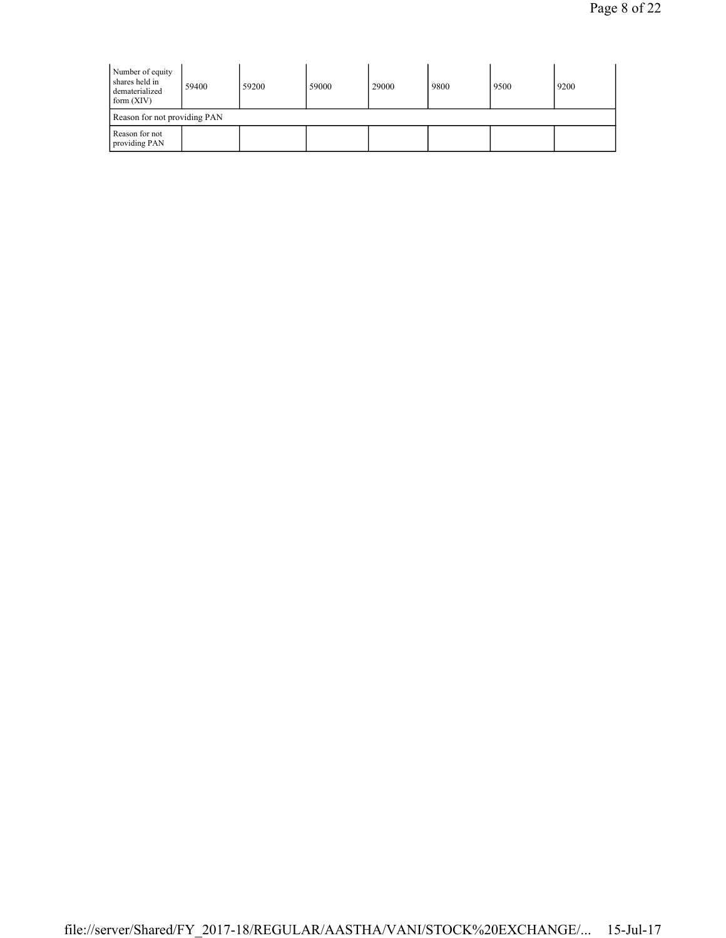| Number of equity<br>shares held in<br>dematerialized<br>form $(XIV)$ | 59400 | 59200 | 59000 | 29000 | 9800 | 9500 | 9200 |  |  |  |
|----------------------------------------------------------------------|-------|-------|-------|-------|------|------|------|--|--|--|
| Reason for not providing PAN                                         |       |       |       |       |      |      |      |  |  |  |
| Reason for not<br>providing PAN                                      |       |       |       |       |      |      |      |  |  |  |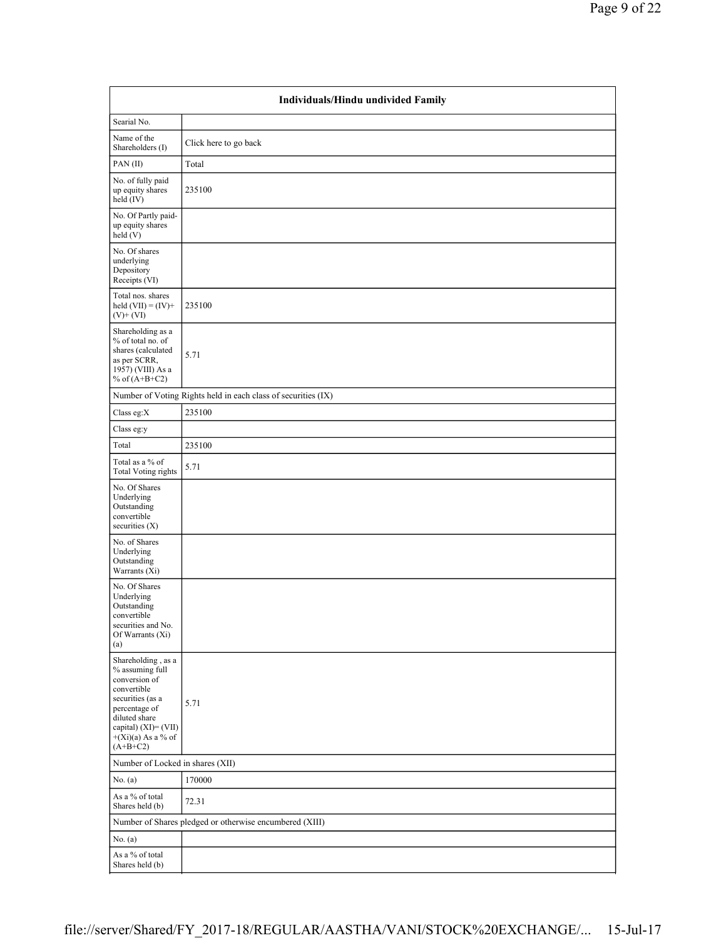| Individuals/Hindu undivided Family                                                                                                                                                           |                                                               |  |  |  |  |  |  |  |
|----------------------------------------------------------------------------------------------------------------------------------------------------------------------------------------------|---------------------------------------------------------------|--|--|--|--|--|--|--|
| Searial No.                                                                                                                                                                                  |                                                               |  |  |  |  |  |  |  |
| Name of the<br>Shareholders (I)                                                                                                                                                              | Click here to go back                                         |  |  |  |  |  |  |  |
| PAN(II)                                                                                                                                                                                      | Total                                                         |  |  |  |  |  |  |  |
| No. of fully paid<br>up equity shares<br>held (IV)                                                                                                                                           | 235100                                                        |  |  |  |  |  |  |  |
| No. Of Partly paid-<br>up equity shares<br>held (V)                                                                                                                                          |                                                               |  |  |  |  |  |  |  |
| No. Of shares<br>underlying<br>Depository<br>Receipts (VI)                                                                                                                                   |                                                               |  |  |  |  |  |  |  |
| Total nos. shares<br>held $(VII) = (IV) +$<br>$(V)$ + $(VI)$                                                                                                                                 | 235100                                                        |  |  |  |  |  |  |  |
| Shareholding as a<br>% of total no. of<br>shares (calculated<br>as per SCRR,<br>1957) (VIII) As a<br>% of $(A+B+C2)$                                                                         | 5.71                                                          |  |  |  |  |  |  |  |
|                                                                                                                                                                                              | Number of Voting Rights held in each class of securities (IX) |  |  |  |  |  |  |  |
| Class eg:X                                                                                                                                                                                   | 235100                                                        |  |  |  |  |  |  |  |
| Class eg:y                                                                                                                                                                                   |                                                               |  |  |  |  |  |  |  |
| Total                                                                                                                                                                                        | 235100                                                        |  |  |  |  |  |  |  |
| Total as a % of<br><b>Total Voting rights</b>                                                                                                                                                | 5.71                                                          |  |  |  |  |  |  |  |
| No. Of Shares<br>Underlying<br>Outstanding<br>convertible<br>securities $(X)$                                                                                                                |                                                               |  |  |  |  |  |  |  |
| No. of Shares<br>Underlying<br>Outstanding<br>Warrants (Xi)                                                                                                                                  |                                                               |  |  |  |  |  |  |  |
| No. Of Shares<br>Underlying<br>Outstanding<br>convertible<br>securities and No.<br>Of Warrants (Xi)<br>(a)                                                                                   |                                                               |  |  |  |  |  |  |  |
| Shareholding, as a<br>% assuming full<br>conversion of<br>convertible<br>securities (as a<br>percentage of<br>diluted share<br>capital) $(XI) = (VII)$<br>$+(Xi)(a)$ As a % of<br>$(A+B+C2)$ | 5.71                                                          |  |  |  |  |  |  |  |
|                                                                                                                                                                                              | Number of Locked in shares (XII)                              |  |  |  |  |  |  |  |
| No. (a)                                                                                                                                                                                      | 170000                                                        |  |  |  |  |  |  |  |
| As a % of total<br>Shares held (b)                                                                                                                                                           | 72.31                                                         |  |  |  |  |  |  |  |
|                                                                                                                                                                                              | Number of Shares pledged or otherwise encumbered (XIII)       |  |  |  |  |  |  |  |
| No. $(a)$                                                                                                                                                                                    |                                                               |  |  |  |  |  |  |  |
| As a $\%$ of total<br>Shares held (b)                                                                                                                                                        |                                                               |  |  |  |  |  |  |  |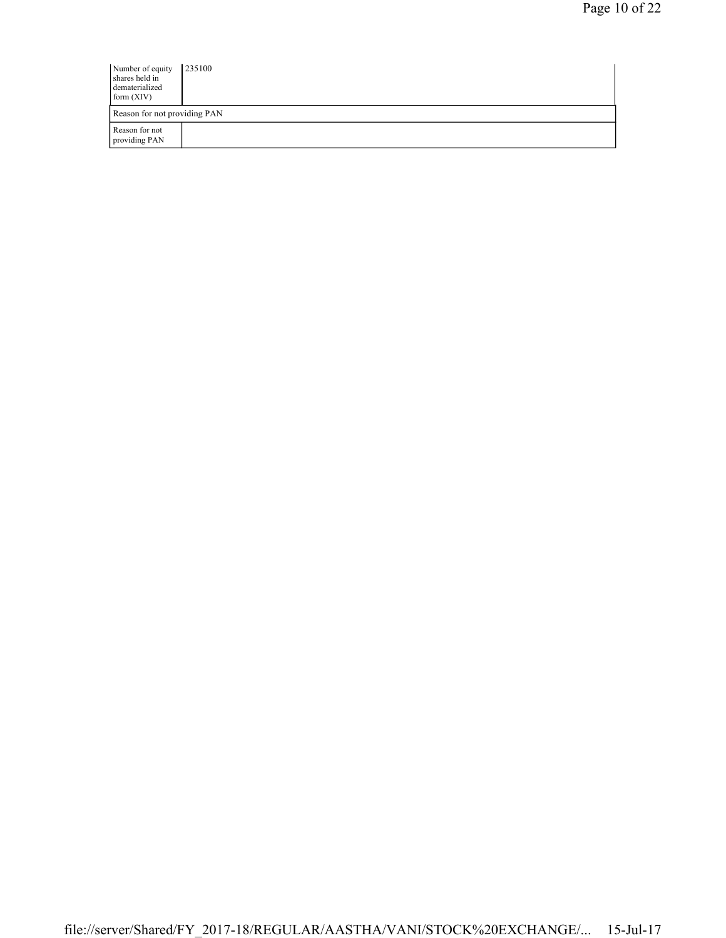| Number of equity<br>shares held in<br>dematerialized<br>form $(XIV)$ | 235100 |
|----------------------------------------------------------------------|--------|
| Reason for not providing PAN                                         |        |
| Reason for not<br>providing PAN                                      |        |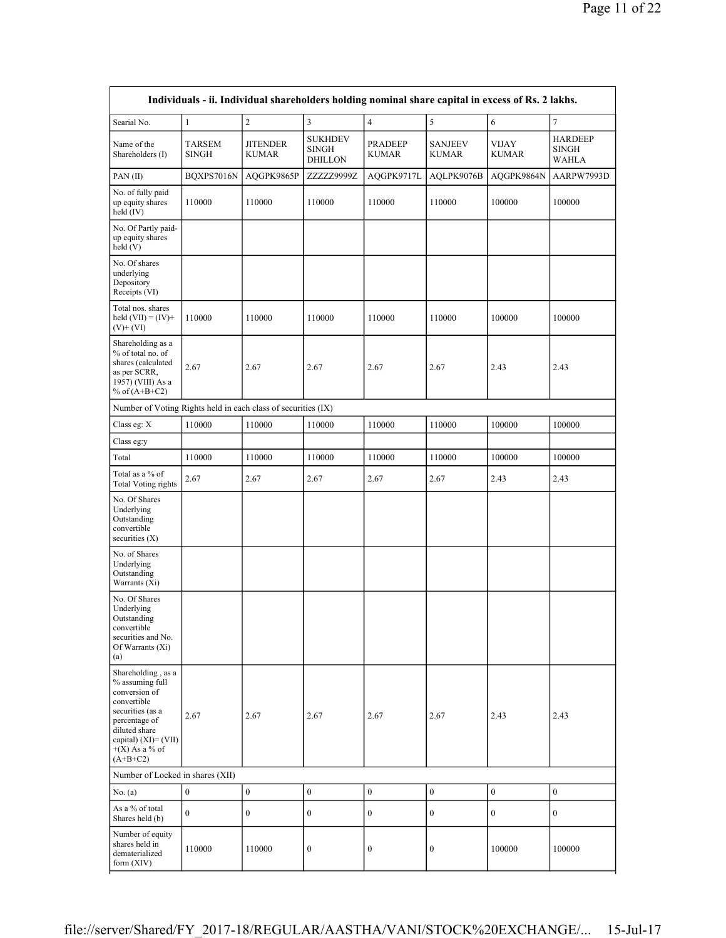| Searial No.                                                                                                                                                                           | $\mathbf{1}$     | $\overline{c}$                  | $\overline{\mathbf{3}}$                          | $\overline{4}$                 | 5                              | $\boldsymbol{6}$      | $\overline{7}$                                 |
|---------------------------------------------------------------------------------------------------------------------------------------------------------------------------------------|------------------|---------------------------------|--------------------------------------------------|--------------------------------|--------------------------------|-----------------------|------------------------------------------------|
| Name of the<br>Shareholders (I)                                                                                                                                                       | TARSEM<br>SINGH  | <b>JITENDER</b><br><b>KUMAR</b> | <b>SUKHDEV</b><br><b>SINGH</b><br><b>DHILLON</b> | <b>PRADEEP</b><br><b>KUMAR</b> | <b>SANJEEV</b><br><b>KUMAR</b> | VIJAY<br><b>KUMAR</b> | <b>HARDEEP</b><br><b>SINGH</b><br><b>WAHLA</b> |
| PAN(II)                                                                                                                                                                               | BQXPS7016N       | AQGPK9865P                      | ZZZZZ9999Z                                       | AQGPK9717L                     | AQLPK9076B                     | AQGPK9864N            | AARPW7993D                                     |
| No. of fully paid<br>up equity shares<br>held (IV)                                                                                                                                    | 110000           | 110000                          | 110000                                           | 110000                         | 110000                         | 100000                | 100000                                         |
| No. Of Partly paid-<br>up equity shares<br>held(V)                                                                                                                                    |                  |                                 |                                                  |                                |                                |                       |                                                |
| No. Of shares<br>underlying<br>Depository<br>Receipts (VI)                                                                                                                            |                  |                                 |                                                  |                                |                                |                       |                                                |
| Total nos. shares<br>held $(VII) = (IV) +$<br>$(V)+(VI)$                                                                                                                              | 110000           | 110000                          | 110000                                           | 110000                         | 110000                         | 100000                | 100000                                         |
| Shareholding as a<br>% of total no. of<br>shares (calculated<br>as per SCRR,<br>1957) (VIII) As a<br>% of $(A+B+C2)$                                                                  | 2.67             | 2.67                            | 2.67                                             | 2.67                           | 2.67                           | 2.43                  | 2.43                                           |
| Number of Voting Rights held in each class of securities (IX)                                                                                                                         |                  |                                 |                                                  |                                |                                |                       |                                                |
| Class eg: X                                                                                                                                                                           | 110000           | 110000                          | 110000                                           | 110000                         | 110000                         | 100000                | 100000                                         |
| Class eg:y                                                                                                                                                                            |                  |                                 |                                                  |                                |                                |                       |                                                |
| Total                                                                                                                                                                                 | 110000           | 110000                          | 110000                                           | 110000                         | 110000                         | 100000                | 100000                                         |
| Total as a % of<br><b>Total Voting rights</b>                                                                                                                                         | 2.67             | 2.67                            | 2.67                                             | 2.67                           | 2.67                           | 2.43                  | 2.43                                           |
| No. Of Shares<br>Underlying<br>Outstanding<br>convertible<br>securities $(X)$                                                                                                         |                  |                                 |                                                  |                                |                                |                       |                                                |
| No. of Shares<br>Underlying<br>Outstanding<br>Warrants (Xi)                                                                                                                           |                  |                                 |                                                  |                                |                                |                       |                                                |
| No. Of Shares<br>Underlying<br>Outstanding<br>convertible<br>securities and No.<br>Of Warrants (Xi)<br>(a)                                                                            |                  |                                 |                                                  |                                |                                |                       |                                                |
| Shareholding, as a<br>% assuming full<br>conversion of<br>convertible<br>securities (as a<br>percentage of<br>diluted share<br>capital) (XI)= (VII)<br>$+(X)$ As a % of<br>$(A+B+C2)$ | 2.67             | 2.67                            | 2.67                                             | 2.67                           | 2.67                           | 2.43                  | 2.43                                           |
| Number of Locked in shares (XII)                                                                                                                                                      |                  |                                 |                                                  |                                |                                |                       |                                                |
| No. (a)                                                                                                                                                                               | $\boldsymbol{0}$ | $\boldsymbol{0}$                | $\boldsymbol{0}$                                 | $\boldsymbol{0}$               | $\boldsymbol{0}$               | $\boldsymbol{0}$      | $\boldsymbol{0}$                               |
| As a % of total<br>Shares held (b)                                                                                                                                                    | $\overline{0}$   | $\boldsymbol{0}$                | $\bf{0}$                                         | $\mathbf{0}$                   | $\boldsymbol{0}$               | $\boldsymbol{0}$      | $\boldsymbol{0}$                               |
| Number of equity<br>shares held in<br>dematerialized<br>form $(XIV)$                                                                                                                  | 110000           | 110000                          | $\bf{0}$                                         | $\boldsymbol{0}$               | $\boldsymbol{0}$               | 100000                | 100000                                         |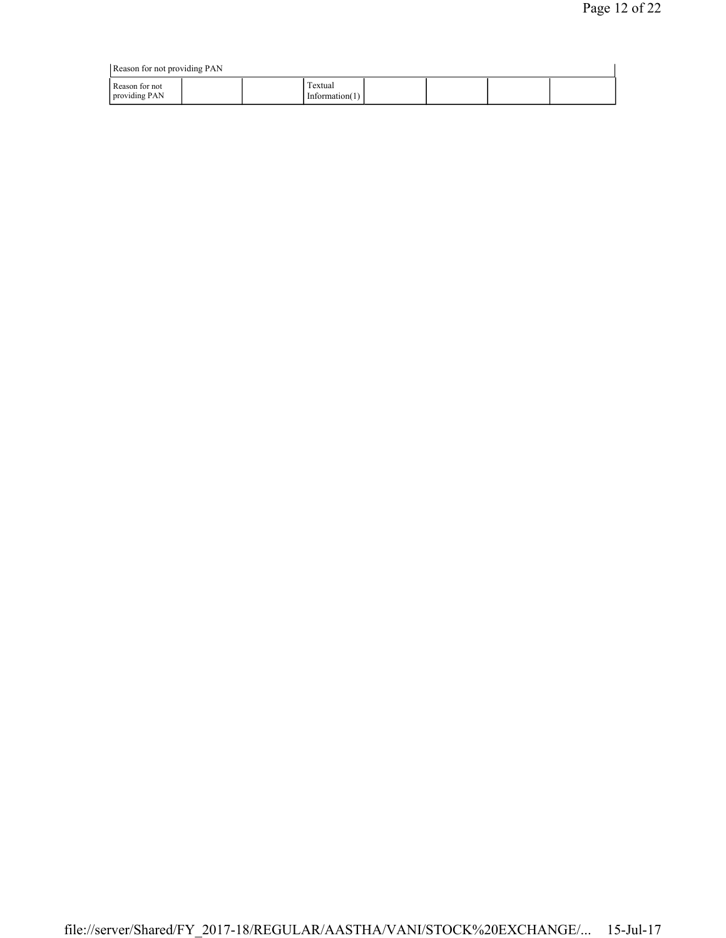|                                 | Reason for not providing PAN |                              |  |  |  |  |  |  |  |  |
|---------------------------------|------------------------------|------------------------------|--|--|--|--|--|--|--|--|
| Reason for not<br>providing PAN |                              | Textual<br>Information $(1)$ |  |  |  |  |  |  |  |  |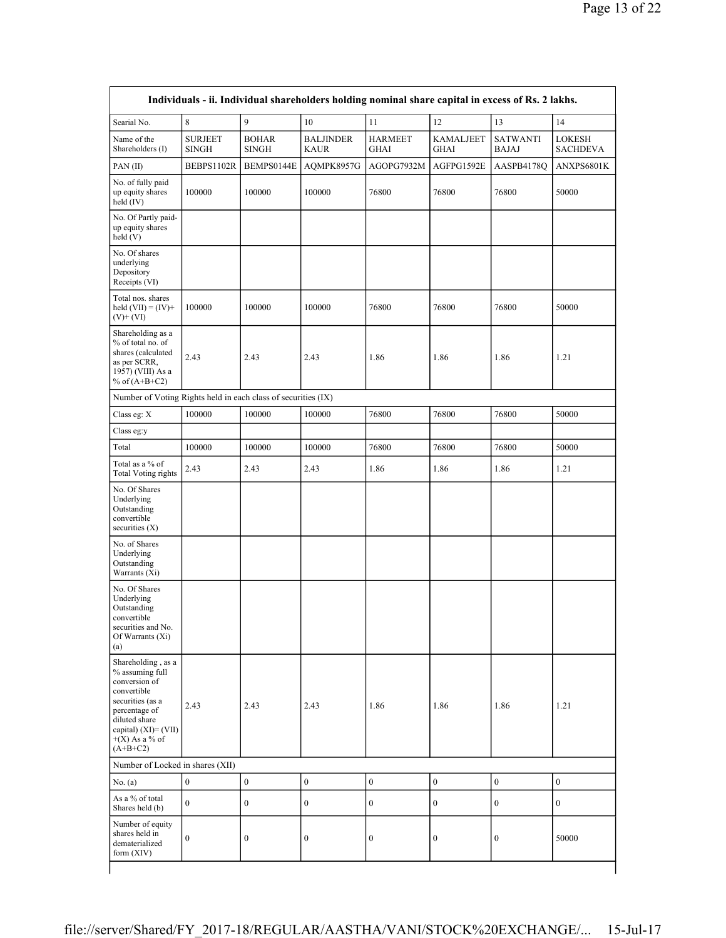| Searial No.                                                                                                                                                                              | 8                              | 9                            | 10                              | 11                            | 12                              | 13                              | 14                        |
|------------------------------------------------------------------------------------------------------------------------------------------------------------------------------------------|--------------------------------|------------------------------|---------------------------------|-------------------------------|---------------------------------|---------------------------------|---------------------------|
| Name of the<br>Shareholders (I)                                                                                                                                                          | <b>SURJEET</b><br><b>SINGH</b> | <b>BOHAR</b><br><b>SINGH</b> | <b>BALJINDER</b><br><b>KAUR</b> | <b>HARMEET</b><br><b>GHAI</b> | <b>KAMALJEET</b><br><b>GHAI</b> | <b>SATWANTI</b><br><b>BAJAJ</b> | LOKESH<br><b>SACHDEVA</b> |
| PAN(II)                                                                                                                                                                                  | BEBPS1102R                     | BEMPS0144E                   | AQMPK8957G                      | AGOPG7932M                    | AGFPG1592E                      | AASPB4178Q                      | ANXPS6801K                |
| No. of fully paid<br>up equity shares<br>held $(IV)$                                                                                                                                     | 100000                         | 100000                       | 100000                          | 76800                         | 76800                           | 76800                           | 50000                     |
| No. Of Partly paid-<br>up equity shares<br>held (V)                                                                                                                                      |                                |                              |                                 |                               |                                 |                                 |                           |
| No. Of shares<br>underlying<br>Depository<br>Receipts (VI)                                                                                                                               |                                |                              |                                 |                               |                                 |                                 |                           |
| Total nos. shares<br>held $(VII) = (IV) +$<br>$(V)+(VI)$                                                                                                                                 | 100000                         | 100000                       | 100000                          | 76800                         | 76800                           | 76800                           | 50000                     |
| Shareholding as a<br>% of total no. of<br>shares (calculated<br>as per SCRR,<br>1957) (VIII) As a<br>% of $(A+B+C2)$                                                                     | 2.43                           | 2.43                         | 2.43                            | 1.86                          | 1.86                            | 1.86                            | 1.21                      |
| Number of Voting Rights held in each class of securities (IX)                                                                                                                            |                                |                              |                                 |                               |                                 |                                 |                           |
| Class eg: X                                                                                                                                                                              | 100000                         | 100000                       | 100000                          | 76800                         | 76800                           | 76800                           | 50000                     |
| Class eg:y                                                                                                                                                                               |                                |                              |                                 |                               |                                 |                                 |                           |
| Total                                                                                                                                                                                    | 100000                         | 100000                       | 100000                          | 76800                         | 76800                           | 76800                           | 50000                     |
| Total as a % of<br><b>Total Voting rights</b>                                                                                                                                            | 2.43                           | 2.43                         | 2.43                            | 1.86                          | 1.86                            | 1.86                            | 1.21                      |
| No. Of Shares<br>Underlying<br>Outstanding<br>convertible<br>securities $(X)$                                                                                                            |                                |                              |                                 |                               |                                 |                                 |                           |
| No. of Shares<br>Underlying<br>Outstanding<br>Warrants (Xi)                                                                                                                              |                                |                              |                                 |                               |                                 |                                 |                           |
| No. Of Shares<br>Underlying<br>Outstanding<br>convertible<br>securities and No.<br>Of Warrants (Xi)<br>(a)                                                                               |                                |                              |                                 |                               |                                 |                                 |                           |
| Shareholding, as a<br>% assuming full<br>conversion of<br>convertible<br>securities (as a<br>percentage of<br>diluted share<br>capital) $(XI) = (VII)$<br>$+(X)$ As a % of<br>$(A+B+C2)$ | 2.43                           | 2.43                         | 2.43                            | 1.86                          | 1.86                            | 1.86                            | 1.21                      |
| Number of Locked in shares (XII)                                                                                                                                                         |                                |                              |                                 |                               |                                 |                                 |                           |
| No. $(a)$                                                                                                                                                                                | $\boldsymbol{0}$               | $\boldsymbol{0}$             | $\boldsymbol{0}$                | $\boldsymbol{0}$              | $\boldsymbol{0}$                | $\boldsymbol{0}$                | $\boldsymbol{0}$          |
| As a % of total<br>Shares held (b)                                                                                                                                                       | $\mathbf{0}$                   | $\boldsymbol{0}$             | $\boldsymbol{0}$                | $\boldsymbol{0}$              | $\boldsymbol{0}$                | $\bf{0}$                        | $\boldsymbol{0}$          |
| Number of equity<br>shares held in<br>dematerialized<br>form $(XIV)$                                                                                                                     | $\boldsymbol{0}$               | $\boldsymbol{0}$             | $\boldsymbol{0}$                | $\boldsymbol{0}$              | $\boldsymbol{0}$                | $\boldsymbol{0}$                | 50000                     |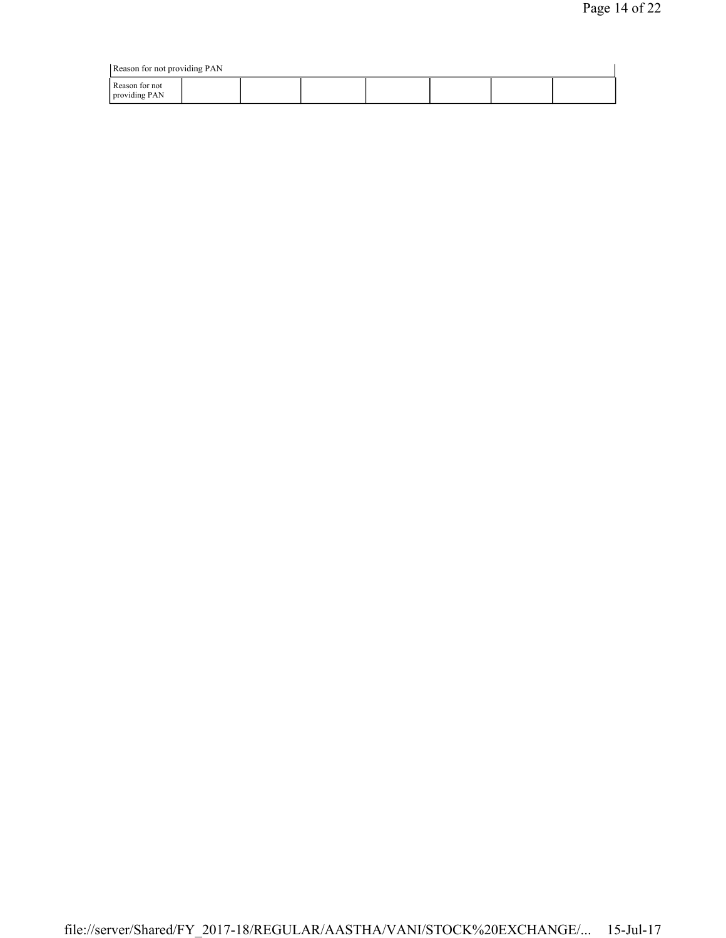| Reason for not providing PAN    |  |  |  |  |  |  |  |  |
|---------------------------------|--|--|--|--|--|--|--|--|
| Reason for not<br>providing PAN |  |  |  |  |  |  |  |  |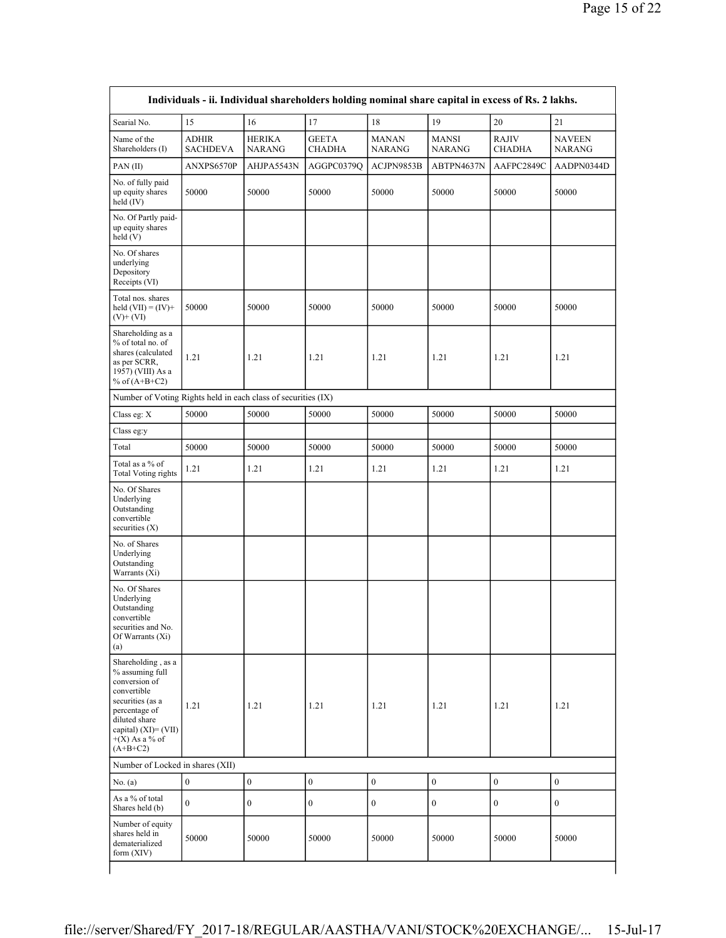| Searial No.                                                                                                                                                                           | 15                              | 16                             | 17                            | 18                            | 19                            | 20                            | 21                             |
|---------------------------------------------------------------------------------------------------------------------------------------------------------------------------------------|---------------------------------|--------------------------------|-------------------------------|-------------------------------|-------------------------------|-------------------------------|--------------------------------|
| Name of the<br>Shareholders (I)                                                                                                                                                       | <b>ADHIR</b><br><b>SACHDEVA</b> | <b>HERIKA</b><br><b>NARANG</b> | <b>GEETA</b><br><b>CHADHA</b> | <b>MANAN</b><br><b>NARANG</b> | <b>MANSI</b><br><b>NARANG</b> | <b>RAJIV</b><br><b>CHADHA</b> | <b>NAVEEN</b><br><b>NARANG</b> |
| PAN(II)                                                                                                                                                                               | ANXPS6570P                      | AHJPA5543N                     | AGGPC0379Q                    | ACJPN9853B                    | ABTPN4637N                    | AAFPC2849C                    | AADPN0344D                     |
| No. of fully paid<br>up equity shares<br>held (IV)                                                                                                                                    | 50000                           | 50000                          | 50000                         | 50000                         | 50000                         | 50000                         | 50000                          |
| No. Of Partly paid-<br>up equity shares<br>held(V)                                                                                                                                    |                                 |                                |                               |                               |                               |                               |                                |
| No. Of shares<br>underlying<br>Depository<br>Receipts (VI)                                                                                                                            |                                 |                                |                               |                               |                               |                               |                                |
| Total nos. shares<br>held $(VII) = (IV) +$<br>$(V)+(VI)$                                                                                                                              | 50000                           | 50000                          | 50000                         | 50000                         | 50000                         | 50000                         | 50000                          |
| Shareholding as a<br>% of total no. of<br>shares (calculated<br>as per SCRR,<br>1957) (VIII) As a<br>% of $(A+B+C2)$                                                                  | 1.21                            | 1.21                           | 1.21                          | 1.21                          | 1.21                          | 1.21                          | 1.21                           |
| Number of Voting Rights held in each class of securities (IX)                                                                                                                         |                                 |                                |                               |                               |                               |                               |                                |
| Class eg: X                                                                                                                                                                           | 50000                           | 50000                          | 50000                         | 50000                         | 50000                         | 50000                         | 50000                          |
| Class eg:y                                                                                                                                                                            |                                 |                                |                               |                               |                               |                               |                                |
| Total                                                                                                                                                                                 | 50000                           | 50000                          | 50000                         | 50000                         | 50000                         | 50000                         | 50000                          |
| Total as a % of<br><b>Total Voting rights</b>                                                                                                                                         | 1.21                            | 1.21                           | 1.21                          | 1.21                          | 1.21                          | 1.21                          | 1.21                           |
| No. Of Shares<br>Underlying<br>Outstanding<br>convertible<br>securities $(X)$                                                                                                         |                                 |                                |                               |                               |                               |                               |                                |
| No. of Shares<br>Underlying<br>Outstanding<br>Warrants (Xi)                                                                                                                           |                                 |                                |                               |                               |                               |                               |                                |
| No. Of Shares<br>Underlying<br>Outstanding<br>convertible<br>securities and No.<br>Of Warrants (Xi)<br>(a)                                                                            |                                 |                                |                               |                               |                               |                               |                                |
| Shareholding, as a<br>% assuming full<br>conversion of<br>convertible<br>securities (as a<br>percentage of<br>diluted share<br>capital) (XI)= (VII)<br>$+(X)$ As a % of<br>$(A+B+C2)$ | 1.21                            | 1.21                           | 1.21                          | 1.21                          | 1.21                          | 1.21                          | 1.21                           |
| Number of Locked in shares (XII)                                                                                                                                                      |                                 |                                |                               |                               |                               |                               |                                |
| No. (a)                                                                                                                                                                               | $\boldsymbol{0}$                | $\boldsymbol{0}$               | $\boldsymbol{0}$              | $\boldsymbol{0}$              | $\boldsymbol{0}$              | $\boldsymbol{0}$              | $\boldsymbol{0}$               |
| As a % of total<br>Shares held (b)                                                                                                                                                    | $\overline{0}$                  | $\boldsymbol{0}$               | $\boldsymbol{0}$              | $\boldsymbol{0}$              | $\boldsymbol{0}$              | $\boldsymbol{0}$              | $\boldsymbol{0}$               |
| Number of equity<br>shares held in<br>dematerialized<br>form $(XIV)$                                                                                                                  | 50000                           | 50000                          | 50000                         | 50000                         | 50000                         | 50000                         | 50000                          |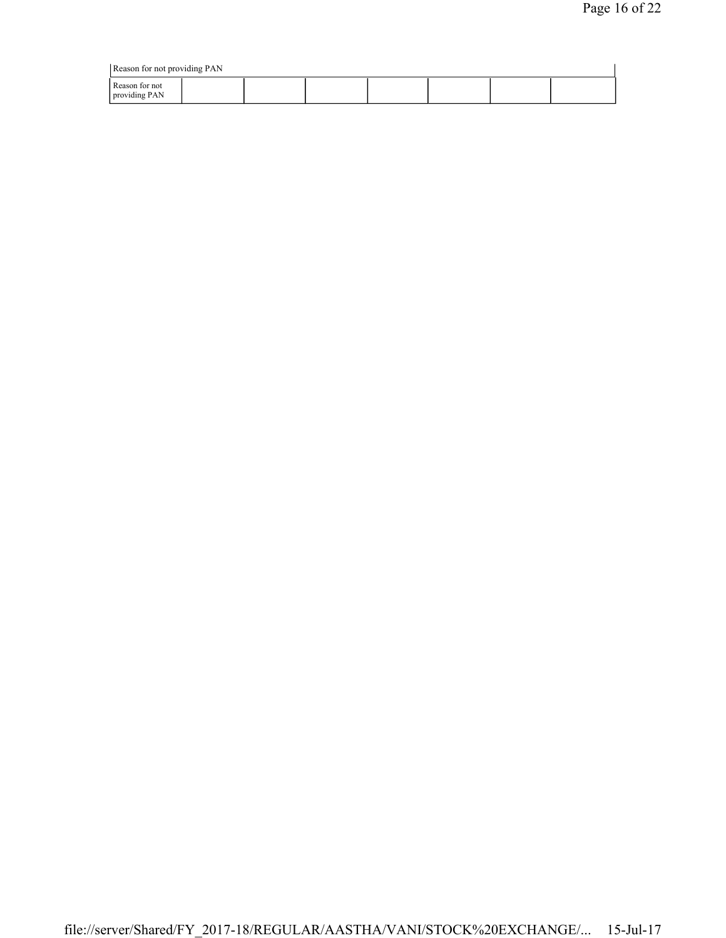| Reason for not providing PAN    |  |  |  |  |  |  |  |
|---------------------------------|--|--|--|--|--|--|--|
| Reason for not<br>providing PAN |  |  |  |  |  |  |  |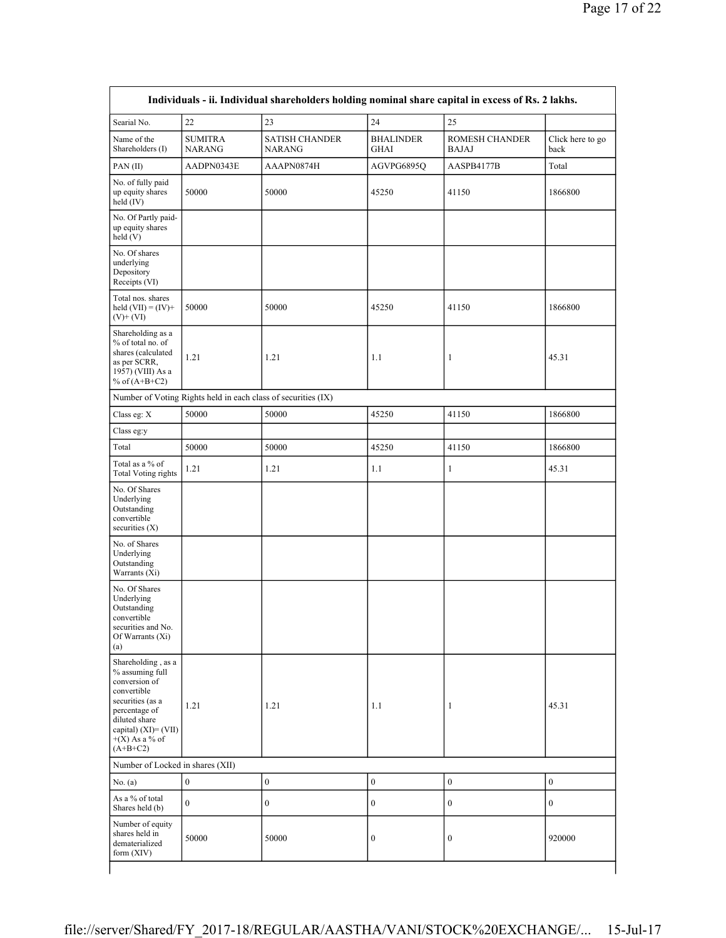| Searial No.                                                                                                                                                                           | 22                              | 23                                                            | 24                              | 25                                    |                          |
|---------------------------------------------------------------------------------------------------------------------------------------------------------------------------------------|---------------------------------|---------------------------------------------------------------|---------------------------------|---------------------------------------|--------------------------|
| Name of the<br>Shareholders (I)                                                                                                                                                       | <b>SUMITRA</b><br><b>NARANG</b> | <b>SATISH CHANDER</b><br><b>NARANG</b>                        | <b>BHALINDER</b><br><b>GHAI</b> | <b>ROMESH CHANDER</b><br><b>BAJAJ</b> | Click here to go<br>back |
| PAN(II)                                                                                                                                                                               | AADPN0343E                      | AAAPN0874H                                                    | AGVPG6895Q                      | AASPB4177B                            | Total                    |
| No. of fully paid<br>up equity shares<br>held (IV)                                                                                                                                    | 50000                           | 50000                                                         | 45250                           | 41150                                 | 1866800                  |
| No. Of Partly paid-<br>up equity shares<br>held(V)                                                                                                                                    |                                 |                                                               |                                 |                                       |                          |
| No. Of shares<br>underlying<br>Depository<br>Receipts (VI)                                                                                                                            |                                 |                                                               |                                 |                                       |                          |
| Total nos. shares<br>held $(VII) = (IV) +$<br>$(V)+(VI)$                                                                                                                              | 50000                           | 50000                                                         | 45250                           | 41150                                 | 1866800                  |
| Shareholding as a<br>% of total no. of<br>shares (calculated<br>as per SCRR,<br>1957) (VIII) As a<br>% of $(A+B+C2)$                                                                  | 1.21                            | 1.21                                                          | 1.1                             | 1                                     | 45.31                    |
|                                                                                                                                                                                       |                                 | Number of Voting Rights held in each class of securities (IX) |                                 |                                       |                          |
| Class eg: X                                                                                                                                                                           | 50000                           | 50000                                                         | 45250                           | 41150                                 | 1866800                  |
| Class eg:y                                                                                                                                                                            |                                 |                                                               |                                 |                                       |                          |
| Total                                                                                                                                                                                 | 50000                           | 50000                                                         | 45250                           | 41150                                 | 1866800                  |
| Total as a % of<br><b>Total Voting rights</b>                                                                                                                                         | 1.21                            | 1.21                                                          | 1.1                             | $\mathbf{1}$                          | 45.31                    |
| No. Of Shares<br>Underlying<br>Outstanding<br>convertible<br>securities $(X)$                                                                                                         |                                 |                                                               |                                 |                                       |                          |
| No. of Shares<br>Underlying<br>Outstanding<br>Warrants (Xi)                                                                                                                           |                                 |                                                               |                                 |                                       |                          |
| No. Of Shares<br>Underlying<br>Outstanding<br>convertible<br>securities and No.<br>Of Warrants (Xi)<br>(a)                                                                            |                                 |                                                               |                                 |                                       |                          |
| Shareholding, as a<br>% assuming full<br>conversion of<br>convertible<br>securities (as a<br>percentage of<br>diluted share<br>capital) (XI)= (VII)<br>$+(X)$ As a % of<br>$(A+B+C2)$ | 1.21                            | 1.21                                                          | 1.1                             | $\mathbf{1}$                          | 45.31                    |
| Number of Locked in shares (XII)                                                                                                                                                      |                                 |                                                               |                                 |                                       |                          |
| No. (a)                                                                                                                                                                               | $\boldsymbol{0}$                | $\boldsymbol{0}$                                              | $\boldsymbol{0}$                | $\mathbf{0}$                          | $\boldsymbol{0}$         |
| As a % of total<br>Shares held (b)                                                                                                                                                    | $\boldsymbol{0}$                | $\boldsymbol{0}$                                              | $\boldsymbol{0}$                | $\boldsymbol{0}$                      | $\boldsymbol{0}$         |
| Number of equity<br>shares held in<br>dematerialized<br>form $(XIV)$                                                                                                                  | 50000                           | 50000                                                         | $\boldsymbol{0}$                | $\boldsymbol{0}$                      | 920000                   |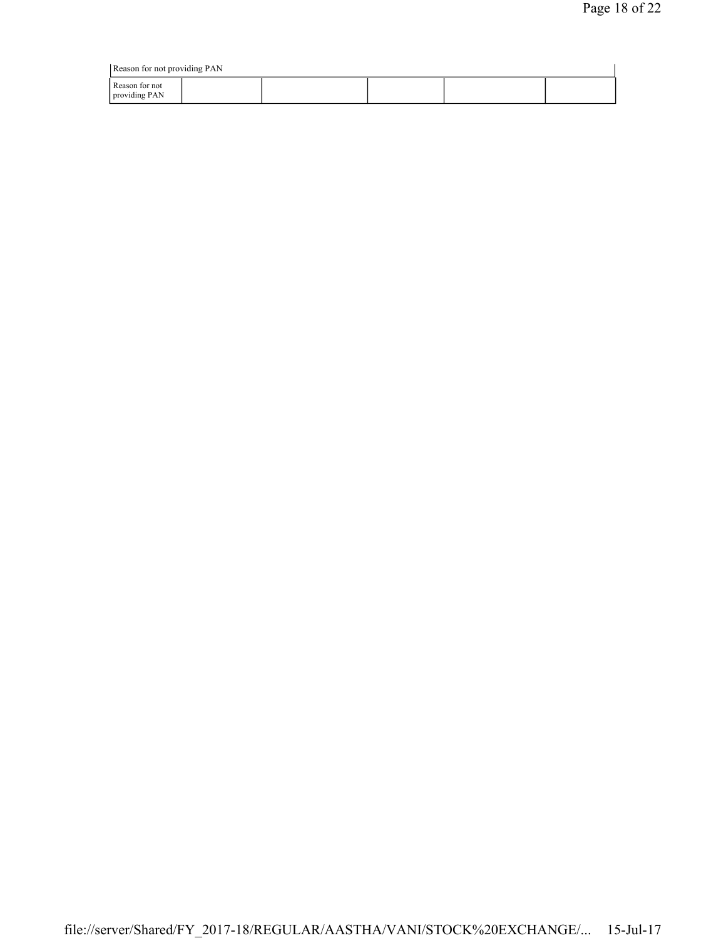| Reason for not providing PAN    |  |  |  |  |  |  |  |
|---------------------------------|--|--|--|--|--|--|--|
| Reason for not<br>providing PAN |  |  |  |  |  |  |  |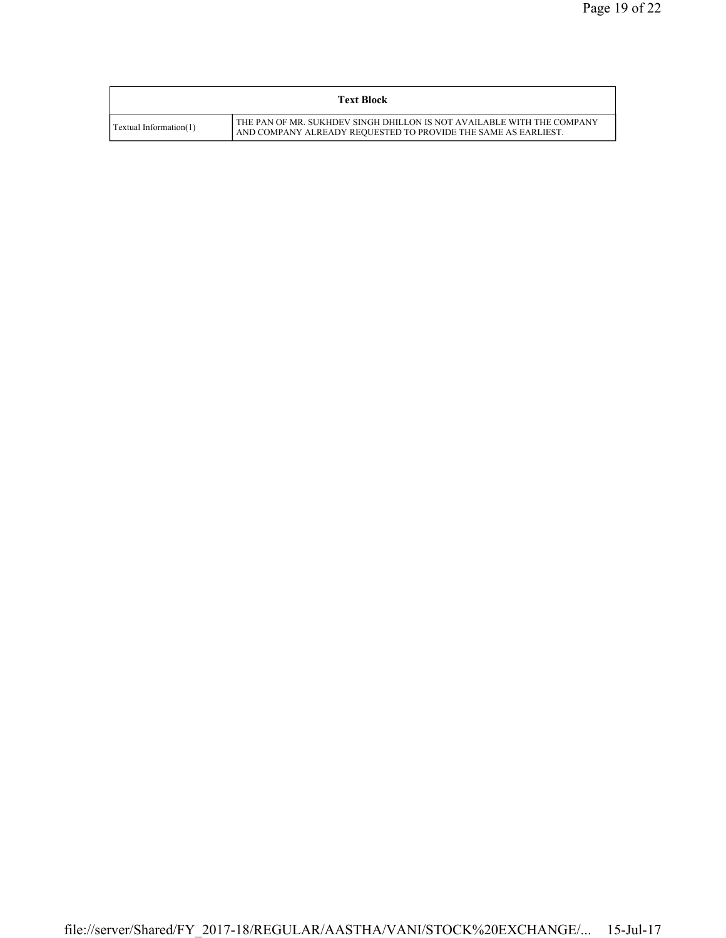|                        | <b>Text Block</b>                                                                                                                        |
|------------------------|------------------------------------------------------------------------------------------------------------------------------------------|
| Textual Information(1) | THE PAN OF MR. SUKHDEV SINGH DHILLON IS NOT AVAILABLE WITH THE COMPANY<br>AND COMPANY ALREADY REQUESTED TO PROVIDE THE SAME AS EARLIEST. |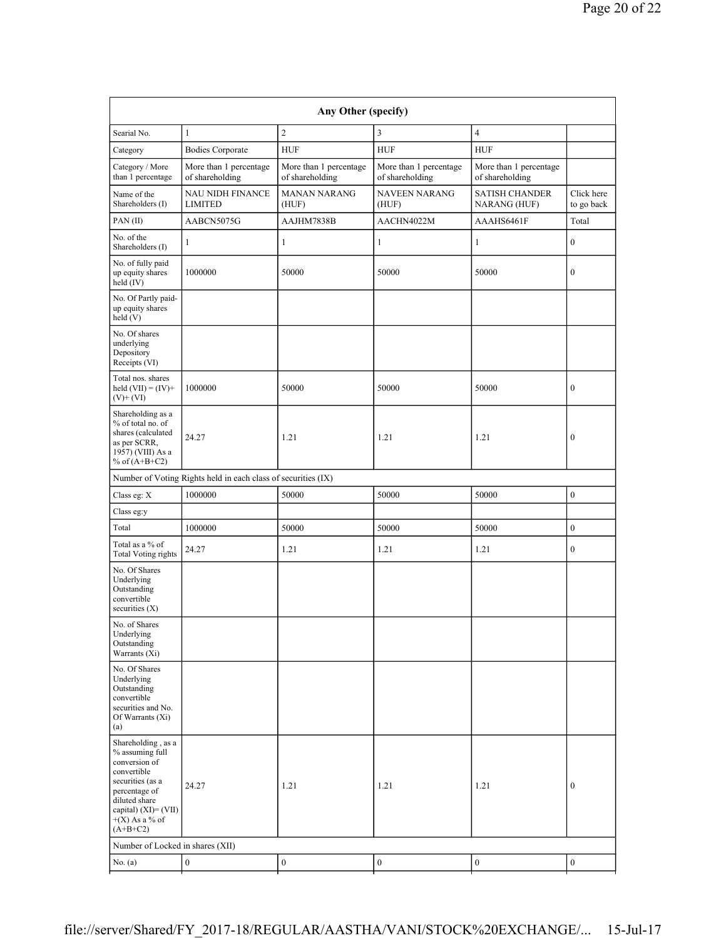| Searial No.                                                                                                                                                                           | $\mathbf{1}$                                                  | $\boldsymbol{2}$                          | $\overline{3}$                            | $\overline{4}$                            |                          |
|---------------------------------------------------------------------------------------------------------------------------------------------------------------------------------------|---------------------------------------------------------------|-------------------------------------------|-------------------------------------------|-------------------------------------------|--------------------------|
| Category                                                                                                                                                                              | <b>Bodies Corporate</b>                                       | <b>HUF</b>                                | <b>HUF</b>                                | <b>HUF</b>                                |                          |
| Category / More<br>than 1 percentage                                                                                                                                                  | More than 1 percentage<br>of shareholding                     | More than 1 percentage<br>of shareholding | More than 1 percentage<br>of shareholding | More than 1 percentage<br>of shareholding |                          |
| Name of the<br>Shareholders (I)                                                                                                                                                       | NAU NIDH FINANCE<br><b>LIMITED</b>                            | <b>MANAN NARANG</b><br>(HUF)              | <b>NAVEEN NARANG</b><br>(HUF)             | <b>SATISH CHANDER</b><br>NARANG (HUF)     | Click here<br>to go back |
| PAN(II)                                                                                                                                                                               | AABCN5075G                                                    | AAJHM7838B                                | AACHN4022M                                | AAAHS6461F                                | Total                    |
| No. of the<br>Shareholders (I)                                                                                                                                                        | $\mathbf{1}$                                                  | $\mathbf{1}$                              | $\mathbf{1}$                              | $\mathbf{1}$                              | $\boldsymbol{0}$         |
| No. of fully paid<br>up equity shares<br>held (IV)                                                                                                                                    | 1000000                                                       | 50000                                     | 50000                                     | 50000                                     | $\boldsymbol{0}$         |
| No. Of Partly paid-<br>up equity shares<br>held $(V)$                                                                                                                                 |                                                               |                                           |                                           |                                           |                          |
| No. Of shares<br>underlying<br>Depository<br>Receipts (VI)                                                                                                                            |                                                               |                                           |                                           |                                           |                          |
| Total nos. shares<br>held $(VII) = (IV) +$<br>$(V)$ + $(VI)$                                                                                                                          | 1000000                                                       | 50000                                     | 50000                                     | 50000                                     | $\boldsymbol{0}$         |
| Shareholding as a<br>% of total no. of<br>shares (calculated<br>as per SCRR,<br>1957) (VIII) As a<br>% of $(A+B+C2)$                                                                  | 24.27                                                         | 1.21                                      | 1.21                                      | 1.21                                      | $\boldsymbol{0}$         |
|                                                                                                                                                                                       | Number of Voting Rights held in each class of securities (IX) |                                           |                                           |                                           |                          |
| Class eg: X                                                                                                                                                                           | 1000000                                                       | 50000                                     | 50000                                     | 50000                                     | $\boldsymbol{0}$         |
| Class eg:y                                                                                                                                                                            |                                                               |                                           |                                           |                                           |                          |
| Total                                                                                                                                                                                 | 1000000                                                       | 50000                                     | 50000                                     | 50000                                     | $\boldsymbol{0}$         |
| Total as a % of<br><b>Total Voting rights</b>                                                                                                                                         | 24.27                                                         | 1.21                                      | 1.21                                      | 1.21                                      | $\mathbf{0}$             |
| No. Of Shares<br>Underlying<br>Outstanding<br>convertible<br>securities $(X)$                                                                                                         |                                                               |                                           |                                           |                                           |                          |
| No. of Shares<br>Underlying<br>Outstanding<br>Warrants (Xi)                                                                                                                           |                                                               |                                           |                                           |                                           |                          |
| No. Of Shares<br>Underlying<br>Outstanding<br>convertible<br>securities and No.<br>Of Warrants (Xi)<br>(a)                                                                            |                                                               |                                           |                                           |                                           |                          |
| Shareholding, as a<br>% assuming full<br>conversion of<br>convertible<br>securities (as a<br>percentage of<br>diluted share<br>capital) (XI)= (VII)<br>$+(X)$ As a % of<br>$(A+B+C2)$ | 24.27                                                         | 1.21                                      | 1.21                                      | 1.21                                      | $\bf{0}$                 |
|                                                                                                                                                                                       |                                                               |                                           |                                           |                                           |                          |
| Number of Locked in shares (XII)                                                                                                                                                      |                                                               |                                           |                                           |                                           |                          |